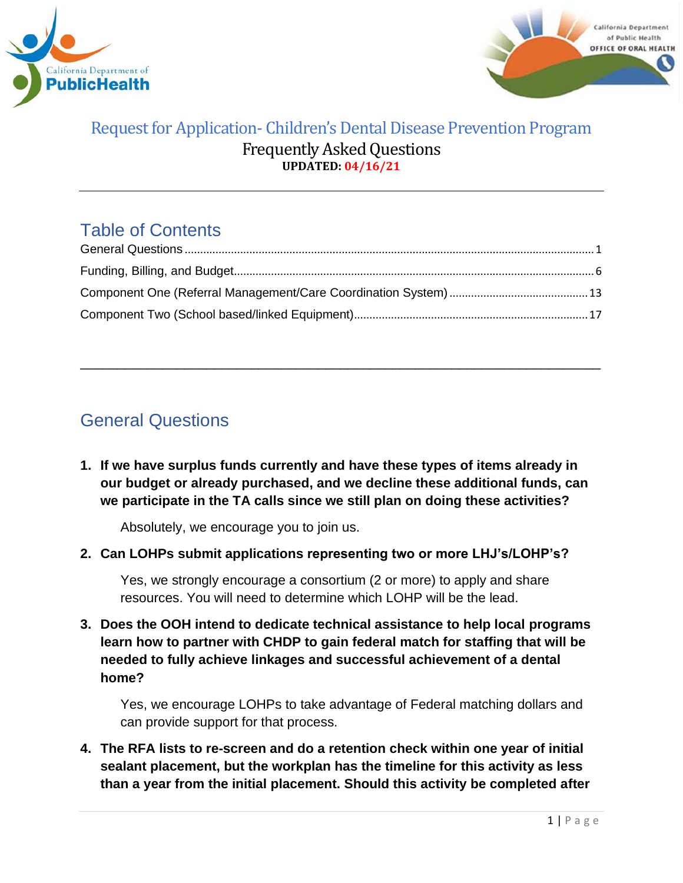



# Table of Contents

\_\_\_\_\_\_\_\_\_\_\_\_\_\_\_\_\_\_\_\_\_\_\_\_\_\_\_\_\_\_\_\_\_\_\_\_\_\_\_\_\_\_\_\_\_\_\_\_\_\_\_\_\_\_\_\_\_\_\_\_\_\_\_\_\_\_\_\_\_\_

# <span id="page-0-0"></span>General Questions

**1. If we have surplus funds currently and have these types of items already in our budget or already purchased, and we decline these additional funds, can we participate in the TA calls since we still plan on doing these activities?**

Absolutely, we encourage you to join us.

**2. Can LOHPs submit applications representing two or more LHJ's/LOHP's?** 

Yes, we strongly encourage a consortium (2 or more) to apply and share resources. You will need to determine which LOHP will be the lead.

**3. Does the OOH intend to dedicate technical assistance to help local programs learn how to partner with CHDP to gain federal match for staffing that will be needed to fully achieve linkages and successful achievement of a dental home?**

Yes, we encourage LOHPs to take advantage of Federal matching dollars and can provide support for that process.

**4. The RFA lists to re-screen and do a retention check within one year of initial sealant placement, but the workplan has the timeline for this activity as less than a year from the initial placement. Should this activity be completed after**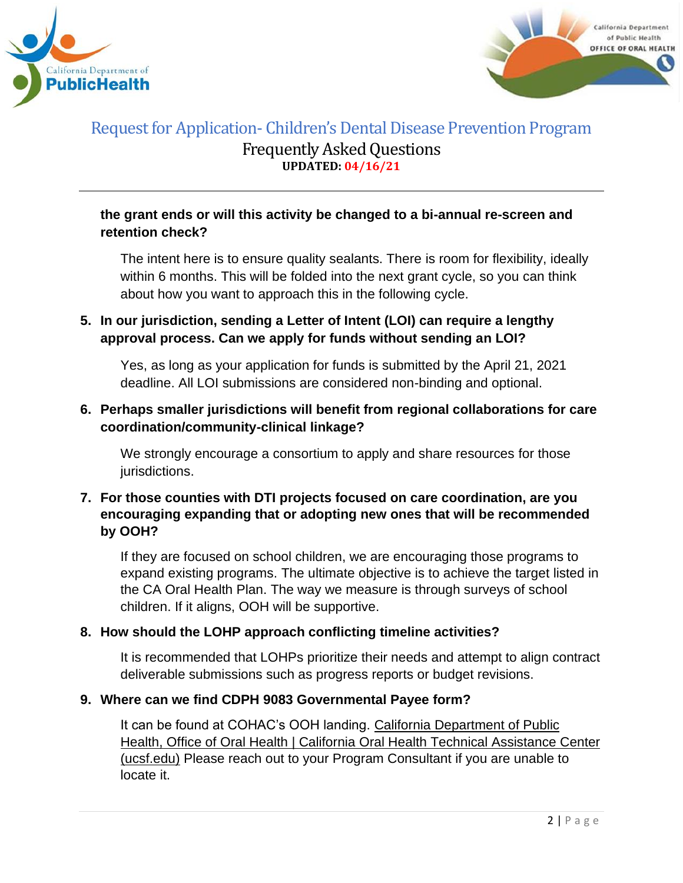



### **the grant ends or will this activity be changed to a bi-annual re-screen and retention check?**

The intent here is to ensure quality sealants. There is room for flexibility, ideally within 6 months. This will be folded into the next grant cycle, so you can think about how you want to approach this in the following cycle.

## **5. In our jurisdiction, sending a Letter of Intent (LOI) can require a lengthy approval process. Can we apply for funds without sending an LOI?**

Yes, as long as your application for funds is submitted by the April 21, 2021 deadline. All LOI submissions are considered non-binding and optional.

## **6. Perhaps smaller jurisdictions will benefit from regional collaborations for care coordination/community-clinical linkage?**

We strongly encourage a consortium to apply and share resources for those jurisdictions.

### **7. For those counties with DTI projects focused on care coordination, are you encouraging expanding that or adopting new ones that will be recommended by OOH?**

If they are focused on school children, we are encouraging those programs to expand existing programs. The ultimate objective is to achieve the target listed in the CA Oral Health Plan. The way we measure is through surveys of school children. If it aligns, OOH will be supportive.

### **8. How should the LOHP approach conflicting timeline activities?**

It is recommended that LOHPs prioritize their needs and attempt to align contract deliverable submissions such as progress reports or budget revisions.

### **9. Where can we find CDPH 9083 Governmental Payee form?**

It can be found at COHAC's OOH landing. California [Department](https://oralhealthsupport.ucsf.edu/california-department-public-health-office-oral-health) of Public Health, Office of Oral Health | California Oral Health Technical [Assistance](https://oralhealthsupport.ucsf.edu/california-department-public-health-office-oral-health) Center [\(ucsf.edu\)](https://oralhealthsupport.ucsf.edu/california-department-public-health-office-oral-health) Please reach out to your Program Consultant if you are unable to locate it.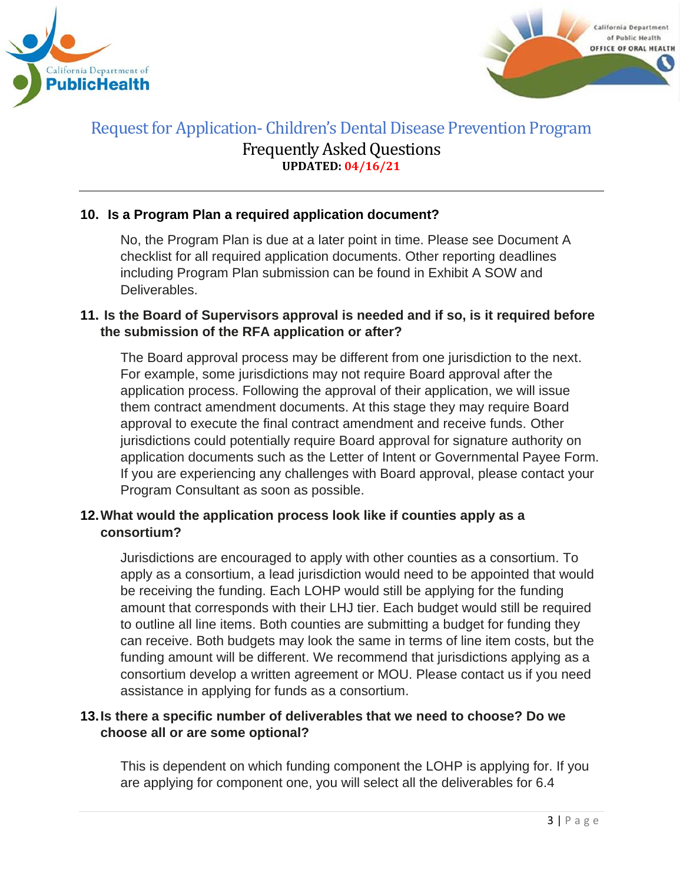



### **10. Is a Program Plan a required application document?**

No, the Program Plan is due at a later point in time. Please see Document A checklist for all required application documents. Other reporting deadlines including Program Plan submission can be found in Exhibit A SOW and Deliverables.

#### **11. Is the Board of Supervisors approval is needed and if so, is it required before the submission of the RFA application or after?**

The Board approval process may be different from one jurisdiction to the next. For example, some jurisdictions may not require Board approval after the application process. Following the approval of their application, we will issue them contract amendment documents. At this stage they may require Board approval to execute the final contract amendment and receive funds. Other jurisdictions could potentially require Board approval for signature authority on application documents such as the Letter of Intent or Governmental Payee Form. If you are experiencing any challenges with Board approval, please contact your Program Consultant as soon as possible.

### **12.What would the application process look like if counties apply as a consortium?**

Jurisdictions are encouraged to apply with other counties as a consortium. To apply as a consortium, a lead jurisdiction would need to be appointed that would be receiving the funding. Each LOHP would still be applying for the funding amount that corresponds with their LHJ tier. Each budget would still be required to outline all line items. Both counties are submitting a budget for funding they can receive. Both budgets may look the same in terms of line item costs, but the funding amount will be different. We recommend that jurisdictions applying as a consortium develop a written agreement or MOU. Please contact us if you need assistance in applying for funds as a consortium.

### **13.Is there a specific number of deliverables that we need to choose? Do we choose all or are some optional?**

This is dependent on which funding component the LOHP is applying for. If you are applying for component one, you will select all the deliverables for 6.4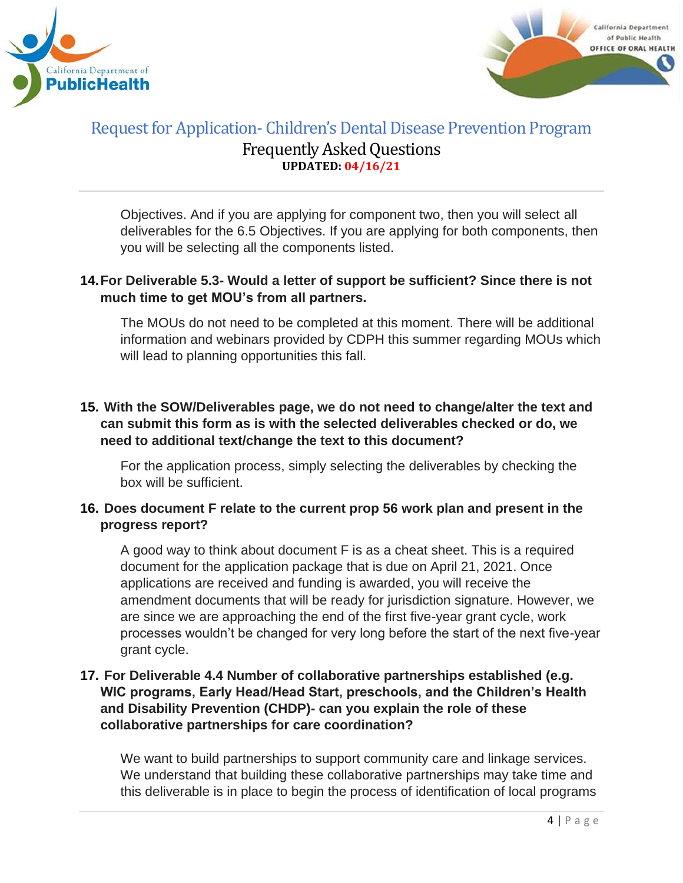



Objectives. And if you are applying for component two, then you will select all deliverables for the 6.5 Objectives. If you are applying for both components, then you will be selecting all the components listed.

### **14.For Deliverable 5.3- Would a letter of support be sufficient? Since there is not much time to get MOU's from all partners.**

The MOUs do not need to be completed at this moment. There will be additional information and webinars provided by CDPH this summer regarding MOUs which will lead to planning opportunities this fall.

### **15. With the SOW/Deliverables page, we do not need to change/alter the text and can submit this form as is with the selected deliverables checked or do, we need to additional text/change the text to this document?**

For the application process, simply selecting the deliverables by checking the box will be sufficient.

### **16. Does document F relate to the current prop 56 work plan and present in the progress report?**

A good way to think about document F is as a cheat sheet. This is a required document for the application package that is due on April 21, 2021. Once applications are received and funding is awarded, you will receive the amendment documents that will be ready for jurisdiction signature. However, we are since we are approaching the end of the first five-year grant cycle, work processes wouldn't be changed for very long before the start of the next five-year grant cycle.

## **17. For Deliverable 4.4 Number of collaborative partnerships established (e.g. WIC programs, Early Head/Head Start, preschools, and the Children's Health and Disability Prevention (CHDP)- can you explain the role of these collaborative partnerships for care coordination?**

We want to build partnerships to support community care and linkage services. We understand that building these collaborative partnerships may take time and this deliverable is in place to begin the process of identification of local programs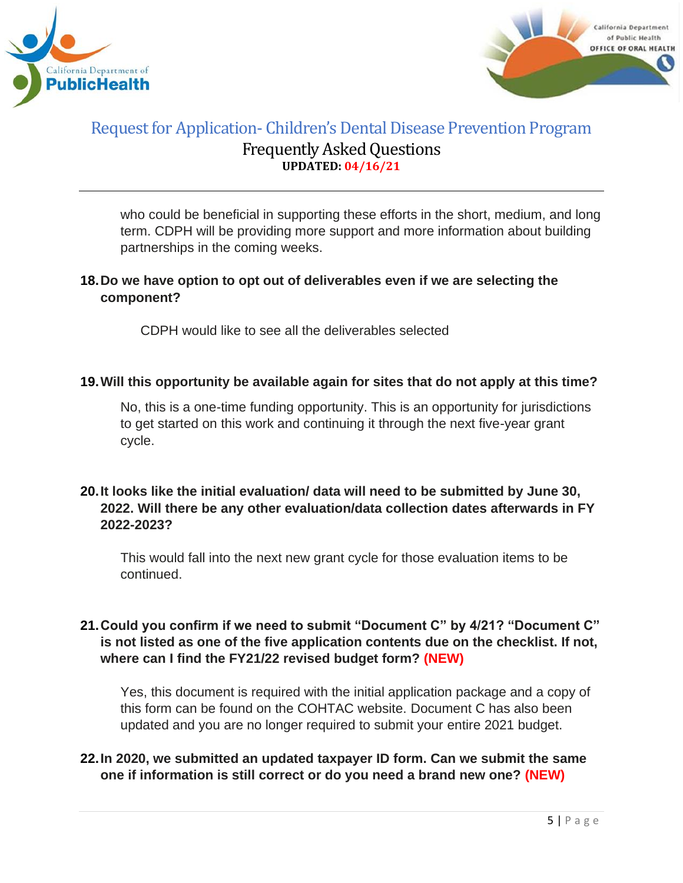



who could be beneficial in supporting these efforts in the short, medium, and long term. CDPH will be providing more support and more information about building partnerships in the coming weeks.

## **18.Do we have option to opt out of deliverables even if we are selecting the component?**

CDPH would like to see all the deliverables selected

### **19.Will this opportunity be available again for sites that do not apply at this time?**

No, this is a one-time funding opportunity. This is an opportunity for jurisdictions to get started on this work and continuing it through the next five-year grant cycle.

### **20.It looks like the initial evaluation/ data will need to be submitted by June 30, 2022. Will there be any other evaluation/data collection dates afterwards in FY 2022-2023?**

This would fall into the next new grant cycle for those evaluation items to be continued.

### **21.Could you confirm if we need to submit "Document C" by 4/21? "Document C" is not listed as one of the five application contents due on the checklist. If not, where can I find the FY21/22 revised budget form? (NEW)**

Yes, this document is required with the initial application package and a copy of this form can be found on the COHTAC website. Document C has also been updated and you are no longer required to submit your entire 2021 budget.

### **22.In 2020, we submitted an updated taxpayer ID form. Can we submit the same one if information is still correct or do you need a brand new one? (NEW)**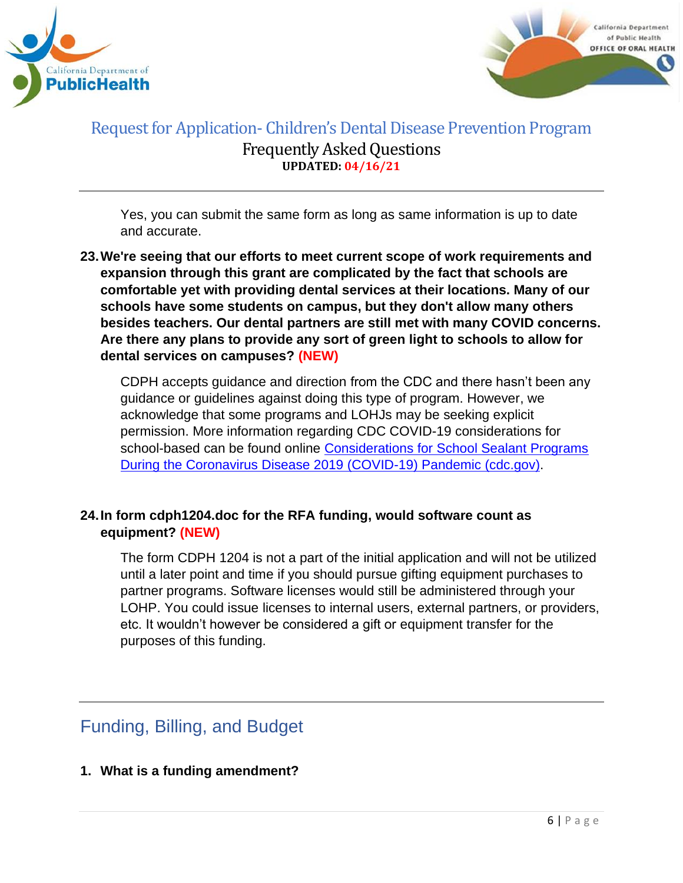



Yes, you can submit the same form as long as same information is up to date and accurate.

**23.We're seeing that our efforts to meet current scope of work requirements and expansion through this grant are complicated by the fact that schools are comfortable yet with providing dental services at their locations. Many of our schools have some students on campus, but they don't allow many others besides teachers. Our dental partners are still met with many COVID concerns. Are there any plans to provide any sort of green light to schools to allow for dental services on campuses? (NEW)**

CDPH accepts guidance and direction from the CDC and there hasn't been any guidance or guidelines against doing this type of program. However, we acknowledge that some programs and LOHJs may be seeking explicit permission. More information regarding CDC COVID-19 considerations for school-based can be found online Considerations for School Sealant Programs [During the Coronavirus Disease 2019 \(COVID-19\) Pandemic \(cdc.gov\).](https://www.cdc.gov/oralhealth/dental_sealant_program/school-sealant-programs-considerations-during-COVID-19.html)

## **24.In form cdph1204.doc for the RFA funding, would software count as equipment? (NEW)**

The form CDPH 1204 is not a part of the initial application and will not be utilized until a later point and time if you should pursue gifting equipment purchases to partner programs. Software licenses would still be administered through your LOHP. You could issue licenses to internal users, external partners, or providers, etc. It wouldn't however be considered a gift or equipment transfer for the purposes of this funding.

# <span id="page-5-0"></span>Funding, Billing, and Budget

**1. What is a funding amendment?**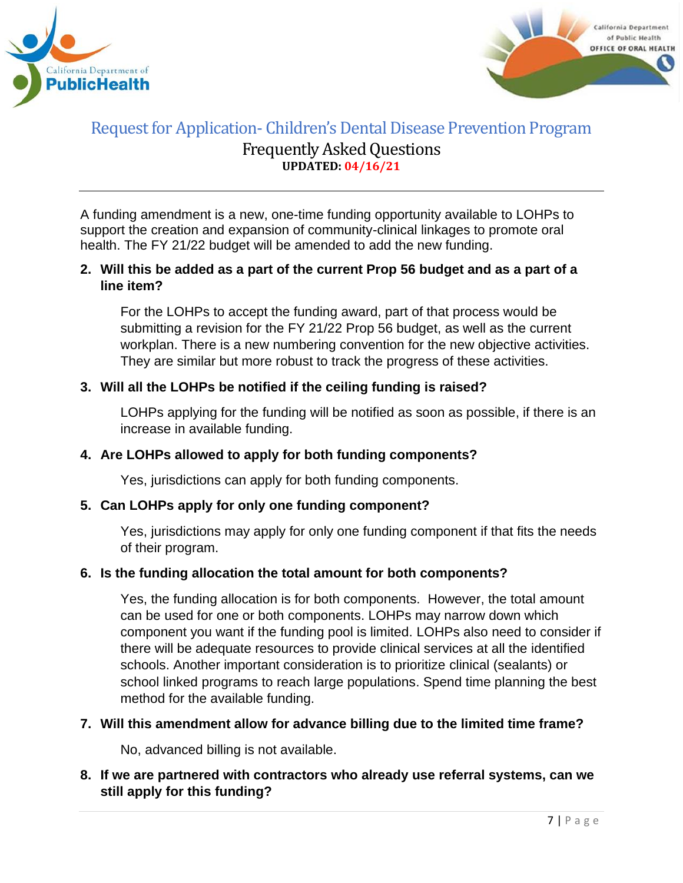



A funding amendment is a new, one-time funding opportunity available to LOHPs to support the creation and expansion of community-clinical linkages to promote oral health. The FY 21/22 budget will be amended to add the new funding.

### **2. Will this be added as a part of the current Prop 56 budget and as a part of a line item?**

For the LOHPs to accept the funding award, part of that process would be submitting a revision for the FY 21/22 Prop 56 budget, as well as the current workplan. There is a new numbering convention for the new objective activities. They are similar but more robust to track the progress of these activities.

### **3. Will all the LOHPs be notified if the ceiling funding is raised?**

LOHPs applying for the funding will be notified as soon as possible, if there is an increase in available funding.

#### **4. Are LOHPs allowed to apply for both funding components?**

Yes, jurisdictions can apply for both funding components.

#### **5. Can LOHPs apply for only one funding component?**

Yes, jurisdictions may apply for only one funding component if that fits the needs of their program.

#### **6. Is the funding allocation the total amount for both components?**

Yes, the funding allocation is for both components. However, the total amount can be used for one or both components. LOHPs may narrow down which component you want if the funding pool is limited. LOHPs also need to consider if there will be adequate resources to provide clinical services at all the identified schools. Another important consideration is to prioritize clinical (sealants) or school linked programs to reach large populations. Spend time planning the best method for the available funding.

#### **7. Will this amendment allow for advance billing due to the limited time frame?**

No, advanced billing is not available.

**8. If we are partnered with contractors who already use referral systems, can we still apply for this funding?**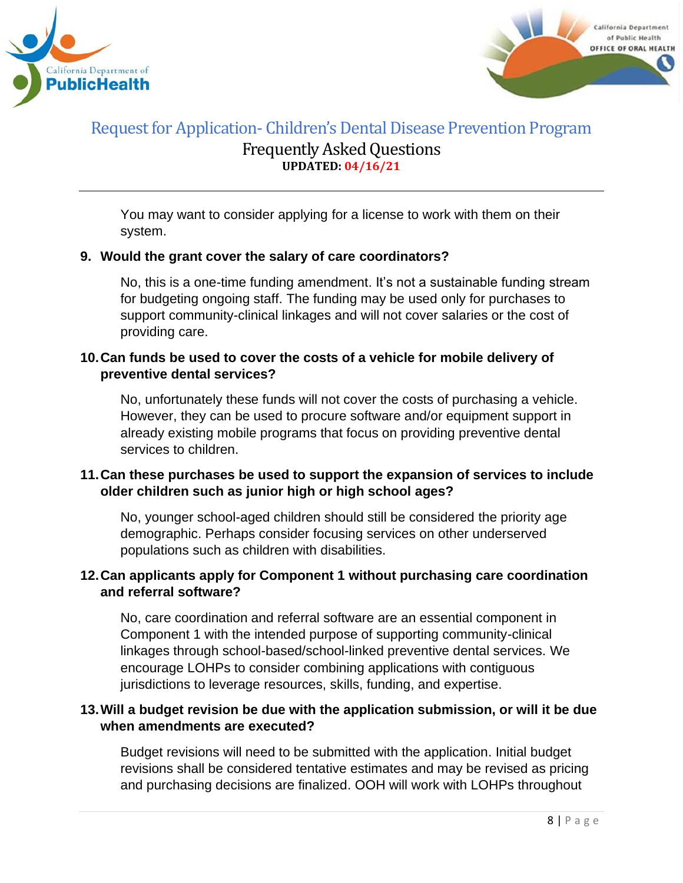



You may want to consider applying for a license to work with them on their system.

#### **9. Would the grant cover the salary of care coordinators?**

No, this is a one-time funding amendment. It's not a sustainable funding stream for budgeting ongoing staff. The funding may be used only for purchases to support community-clinical linkages and will not cover salaries or the cost of providing care.

### **10.Can funds be used to cover the costs of a vehicle for mobile delivery of preventive dental services?**

No, unfortunately these funds will not cover the costs of purchasing a vehicle. However, they can be used to procure software and/or equipment support in already existing mobile programs that focus on providing preventive dental services to children.

### **11.Can these purchases be used to support the expansion of services to include older children such as junior high or high school ages?**

No, younger school-aged children should still be considered the priority age demographic. Perhaps consider focusing services on other underserved populations such as children with disabilities.

### **12.Can applicants apply for Component 1 without purchasing care coordination and referral software?**

No, care coordination and referral software are an essential component in Component 1 with the intended purpose of supporting community-clinical linkages through school-based/school-linked preventive dental services. We encourage LOHPs to consider combining applications with contiguous jurisdictions to leverage resources, skills, funding, and expertise.

### **13.Will a budget revision be due with the application submission, or will it be due when amendments are executed?**

Budget revisions will need to be submitted with the application. Initial budget revisions shall be considered tentative estimates and may be revised as pricing and purchasing decisions are finalized. OOH will work with LOHPs throughout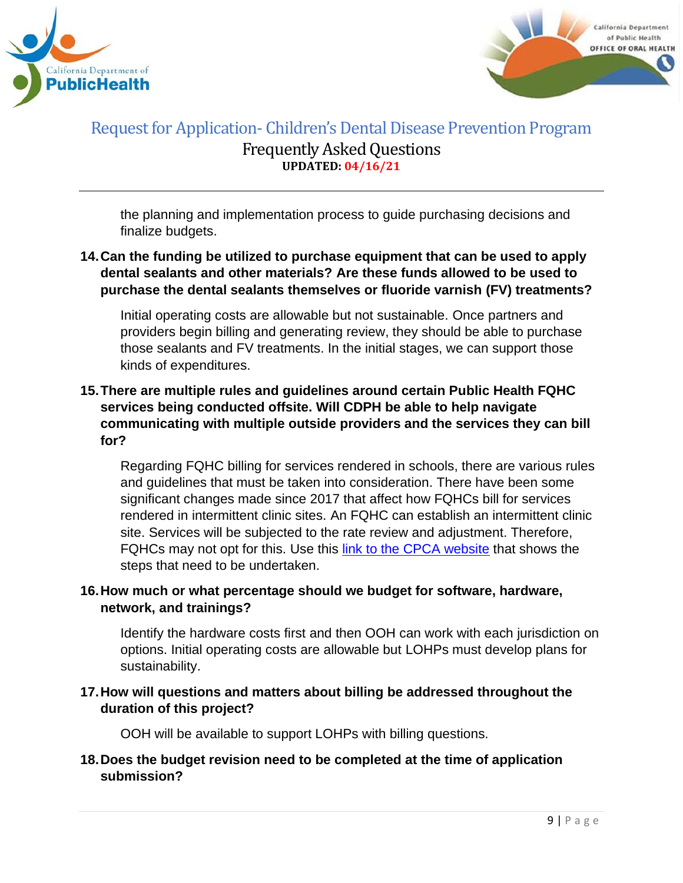



the planning and implementation process to guide purchasing decisions and finalize budgets.

## **14.Can the funding be utilized to purchase equipment that can be used to apply dental sealants and other materials? Are these funds allowed to be used to purchase the dental sealants themselves or fluoride varnish (FV) treatments?**

Initial operating costs are allowable but not sustainable. Once partners and providers begin billing and generating review, they should be able to purchase those sealants and FV treatments. In the initial stages, we can support those kinds of expenditures.

### **15.There are multiple rules and guidelines around certain Public Health FQHC services being conducted offsite. Will CDPH be able to help navigate communicating with multiple outside providers and the services they can bill for?**

Regarding FQHC billing for services rendered in schools, there are various rules and guidelines that must be taken into consideration. There have been some significant changes made since 2017 that affect how FQHCs bill for services rendered in intermittent clinic sites. An FQHC can establish an intermittent clinic site. Services will be subjected to the rate review and adjustment. Therefore, FQHCs may not opt for this. Use this [link to the CPCA website](https://www.cpca.org/CPCA/Health_Center_Resources/Operations/Licensing_Certification_OSHPD_3/CPCA/HEALTH_CENTER_RESOURCES/Operations/Licensing___Certification_OSHPD_3.aspx?hkey=e213a1f9-e91c-4d07-bd87-f32c31a5f75c#:~:text=Intermittent%3A%20A%20clinic%20that%20is,than%2040%20hours%20a%20week) that shows the steps that need to be undertaken.

### **16.How much or what percentage should we budget for software, hardware, network, and trainings?**

Identify the hardware costs first and then OOH can work with each jurisdiction on options. Initial operating costs are allowable but LOHPs must develop plans for sustainability.

### **17.How will questions and matters about billing be addressed throughout the duration of this project?**

OOH will be available to support LOHPs with billing questions.

### **18.Does the budget revision need to be completed at the time of application submission?**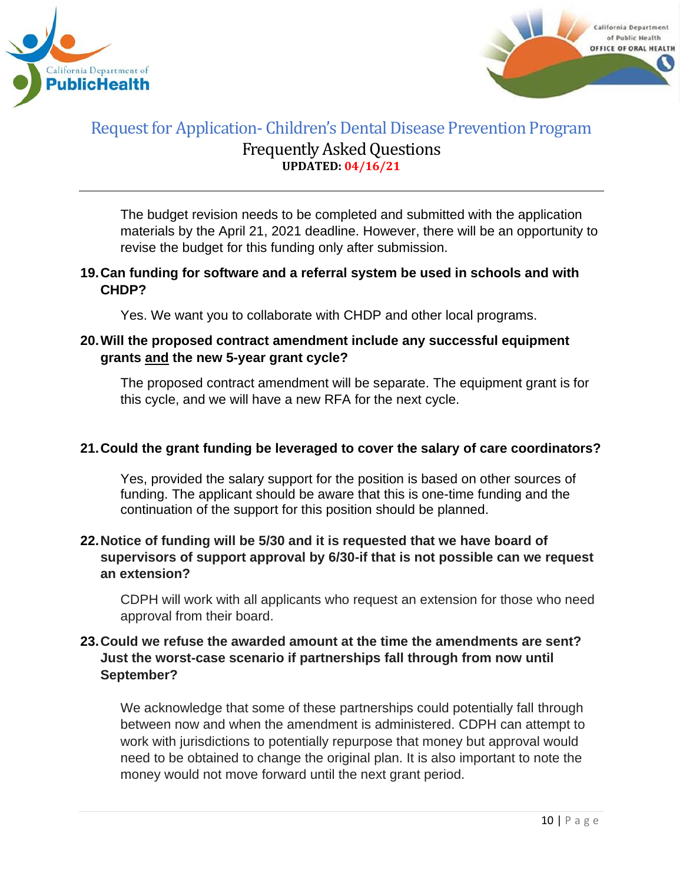



The budget revision needs to be completed and submitted with the application materials by the April 21, 2021 deadline. However, there will be an opportunity to revise the budget for this funding only after submission.

### **19.Can funding for software and a referral system be used in schools and with CHDP?**

Yes. We want you to collaborate with CHDP and other local programs.

## **20.Will the proposed contract amendment include any successful equipment grants and the new 5-year grant cycle?**

The proposed contract amendment will be separate. The equipment grant is for this cycle, and we will have a new RFA for the next cycle.

### **21.Could the grant funding be leveraged to cover the salary of care coordinators?**

Yes, provided the salary support for the position is based on other sources of funding. The applicant should be aware that this is one-time funding and the continuation of the support for this position should be planned.

### **22.Notice of funding will be 5/30 and it is requested that we have board of supervisors of support approval by 6/30-if that is not possible can we request an extension?**

CDPH will work with all applicants who request an extension for those who need approval from their board.

### **23.Could we refuse the awarded amount at the time the amendments are sent? Just the worst-case scenario if partnerships fall through from now until September?**

We acknowledge that some of these partnerships could potentially fall through between now and when the amendment is administered. CDPH can attempt to work with jurisdictions to potentially repurpose that money but approval would need to be obtained to change the original plan. It is also important to note the money would not move forward until the next grant period.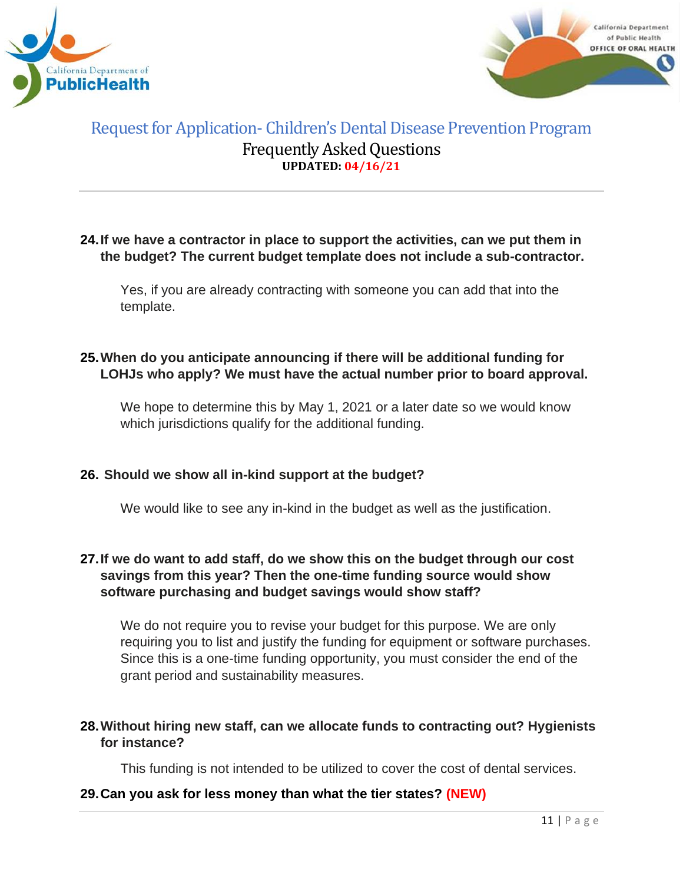



#### **24.If we have a contractor in place to support the activities, can we put them in the budget? The current budget template does not include a sub-contractor.**

Yes, if you are already contracting with someone you can add that into the template.

### **25.When do you anticipate announcing if there will be additional funding for LOHJs who apply? We must have the actual number prior to board approval.**

We hope to determine this by May 1, 2021 or a later date so we would know which jurisdictions qualify for the additional funding.

### **26. Should we show all in-kind support at the budget?**

We would like to see any in-kind in the budget as well as the justification.

### **27.If we do want to add staff, do we show this on the budget through our cost savings from this year? Then the one-time funding source would show software purchasing and budget savings would show staff?**

We do not require you to revise your budget for this purpose. We are only requiring you to list and justify the funding for equipment or software purchases. Since this is a one-time funding opportunity, you must consider the end of the grant period and sustainability measures.

### **28.Without hiring new staff, can we allocate funds to contracting out? Hygienists for instance?**

This funding is not intended to be utilized to cover the cost of dental services.

### **29.Can you ask for less money than what the tier states? (NEW)**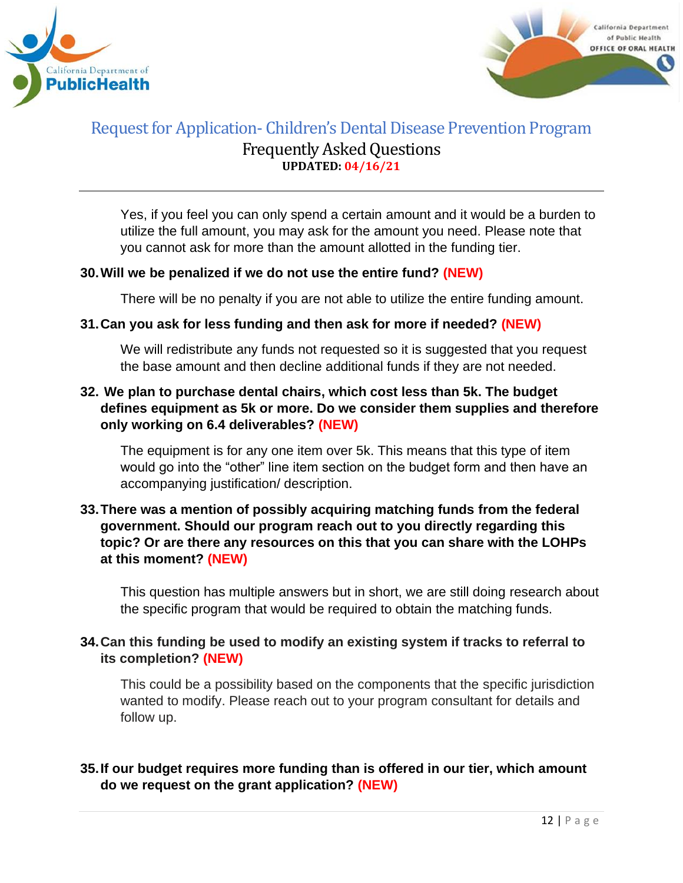



Yes, if you feel you can only spend a certain amount and it would be a burden to utilize the full amount, you may ask for the amount you need. Please note that you cannot ask for more than the amount allotted in the funding tier.

### **30.Will we be penalized if we do not use the entire fund? (NEW)**

There will be no penalty if you are not able to utilize the entire funding amount.

### **31.Can you ask for less funding and then ask for more if needed? (NEW)**

We will redistribute any funds not requested so it is suggested that you request the base amount and then decline additional funds if they are not needed.

### **32. We plan to purchase dental chairs, which cost less than 5k. The budget defines equipment as 5k or more. Do we consider them supplies and therefore only working on 6.4 deliverables? (NEW)**

The equipment is for any one item over 5k. This means that this type of item would go into the "other" line item section on the budget form and then have an accompanying justification/ description.

### **33.There was a mention of possibly acquiring matching funds from the federal government. Should our program reach out to you directly regarding this topic? Or are there any resources on this that you can share with the LOHPs at this moment? (NEW)**

This question has multiple answers but in short, we are still doing research about the specific program that would be required to obtain the matching funds.

### **34.Can this funding be used to modify an existing system if tracks to referral to its completion? (NEW)**

This could be a possibility based on the components that the specific jurisdiction wanted to modify. Please reach out to your program consultant for details and follow up.

### **35.If our budget requires more funding than is offered in our tier, which amount do we request on the grant application? (NEW)**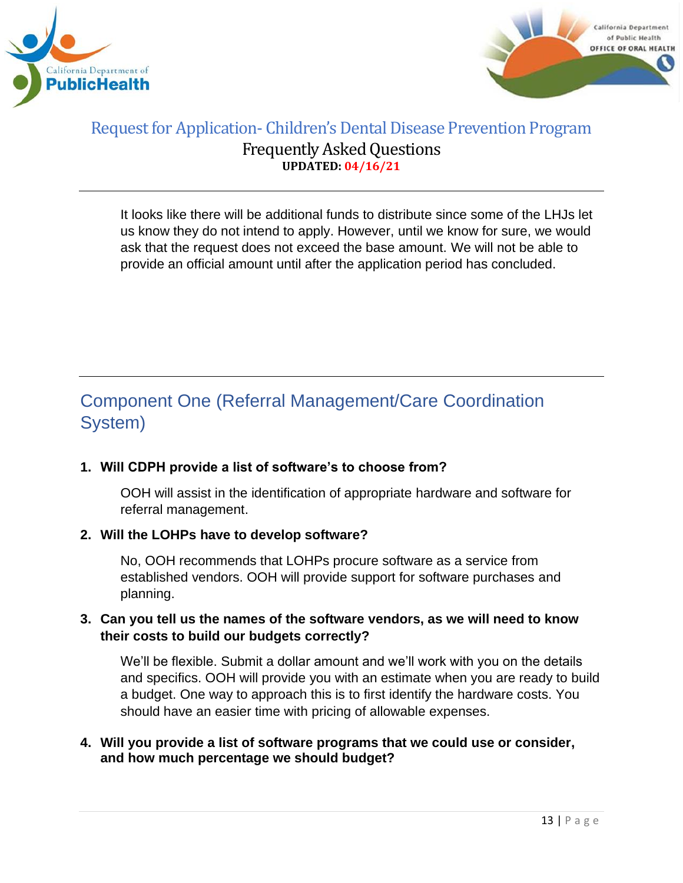



It looks like there will be additional funds to distribute since some of the LHJs let us know they do not intend to apply. However, until we know for sure, we would ask that the request does not exceed the base amount. We will not be able to provide an official amount until after the application period has concluded.

# <span id="page-12-0"></span>Component One (Referral Management/Care Coordination System)

# **1. Will CDPH provide a list of software's to choose from?**

OOH will assist in the identification of appropriate hardware and software for referral management.

### **2. Will the LOHPs have to develop software?**

No, OOH recommends that LOHPs procure software as a service from established vendors. OOH will provide support for software purchases and planning.

### **3. Can you tell us the names of the software vendors, as we will need to know their costs to build our budgets correctly?**

We'll be flexible. Submit a dollar amount and we'll work with you on the details and specifics. OOH will provide you with an estimate when you are ready to build a budget. One way to approach this is to first identify the hardware costs. You should have an easier time with pricing of allowable expenses.

#### **4. Will you provide a list of software programs that we could use or consider, and how much percentage we should budget?**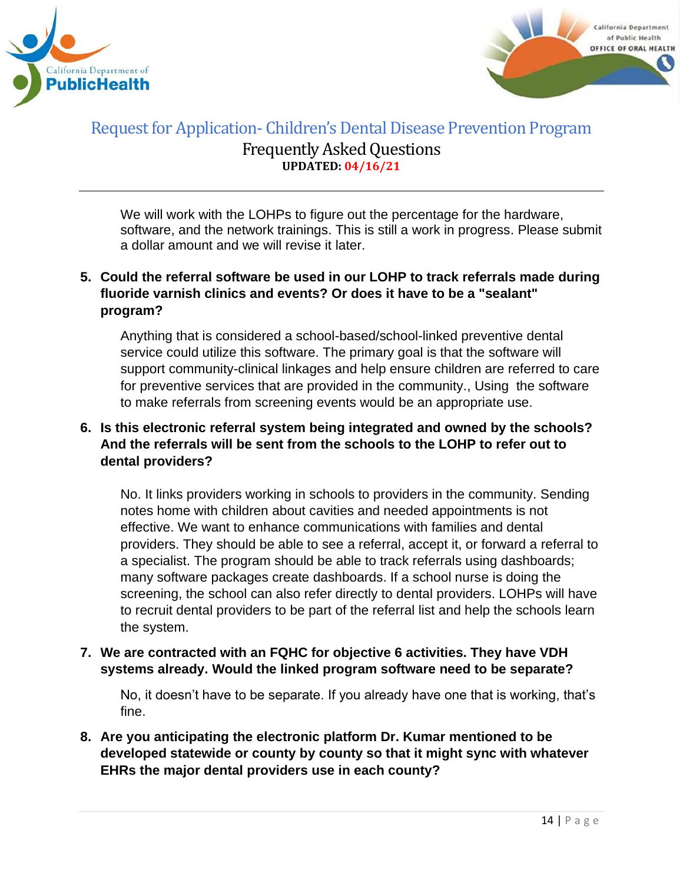



We will work with the LOHPs to figure out the percentage for the hardware, software, and the network trainings. This is still a work in progress. Please submit a dollar amount and we will revise it later.

## **5. Could the referral software be used in our LOHP to track referrals made during fluoride varnish clinics and events? Or does it have to be a "sealant" program?**

Anything that is considered a school-based/school-linked preventive dental service could utilize this software. The primary goal is that the software will support community-clinical linkages and help ensure children are referred to care for preventive services that are provided in the community., Using the software to make referrals from screening events would be an appropriate use.

## **6. Is this electronic referral system being integrated and owned by the schools? And the referrals will be sent from the schools to the LOHP to refer out to dental providers?**

No. It links providers working in schools to providers in the community. Sending notes home with children about cavities and needed appointments is not effective. We want to enhance communications with families and dental providers. They should be able to see a referral, accept it, or forward a referral to a specialist. The program should be able to track referrals using dashboards; many software packages create dashboards. If a school nurse is doing the screening, the school can also refer directly to dental providers. LOHPs will have to recruit dental providers to be part of the referral list and help the schools learn the system.

### **7. We are contracted with an FQHC for objective 6 activities. They have VDH systems already. Would the linked program software need to be separate?**

No, it doesn't have to be separate. If you already have one that is working, that's fine.

## **8. Are you anticipating the electronic platform Dr. Kumar mentioned to be developed statewide or county by county so that it might sync with whatever EHRs the major dental providers use in each county?**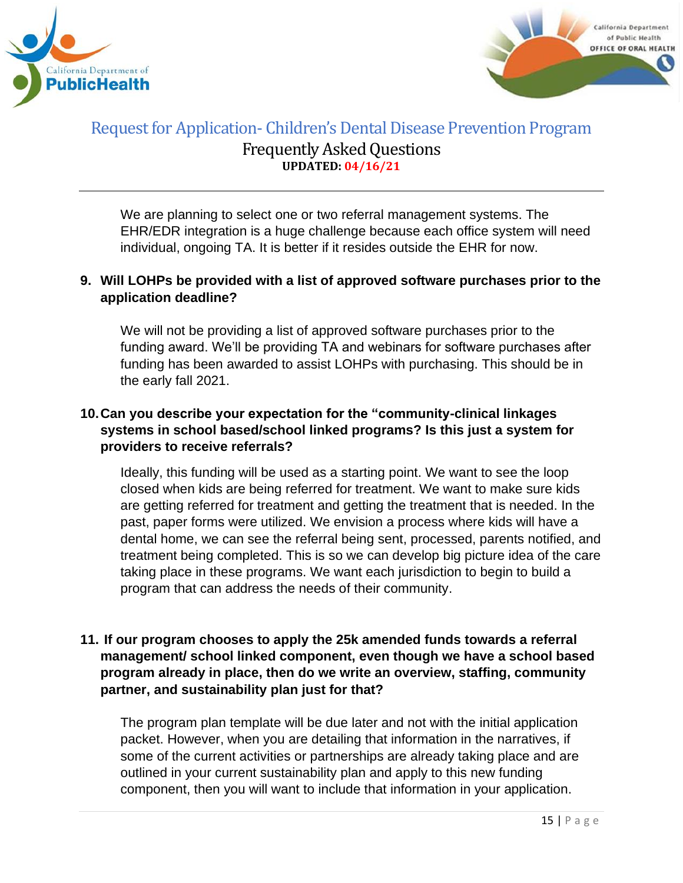



We are planning to select one or two referral management systems. The EHR/EDR integration is a huge challenge because each office system will need individual, ongoing TA. It is better if it resides outside the EHR for now.

### **9. Will LOHPs be provided with a list of approved software purchases prior to the application deadline?**

We will not be providing a list of approved software purchases prior to the funding award. We'll be providing TA and webinars for software purchases after funding has been awarded to assist LOHPs with purchasing. This should be in the early fall 2021.

## **10.Can you describe your expectation for the "community-clinical linkages systems in school based/school linked programs? Is this just a system for providers to receive referrals?**

Ideally, this funding will be used as a starting point. We want to see the loop closed when kids are being referred for treatment. We want to make sure kids are getting referred for treatment and getting the treatment that is needed. In the past, paper forms were utilized. We envision a process where kids will have a dental home, we can see the referral being sent, processed, parents notified, and treatment being completed. This is so we can develop big picture idea of the care taking place in these programs. We want each jurisdiction to begin to build a program that can address the needs of their community.

### **11. If our program chooses to apply the 25k amended funds towards a referral management/ school linked component, even though we have a school based program already in place, then do we write an overview, staffing, community partner, and sustainability plan just for that?**

The program plan template will be due later and not with the initial application packet. However, when you are detailing that information in the narratives, if some of the current activities or partnerships are already taking place and are outlined in your current sustainability plan and apply to this new funding component, then you will want to include that information in your application.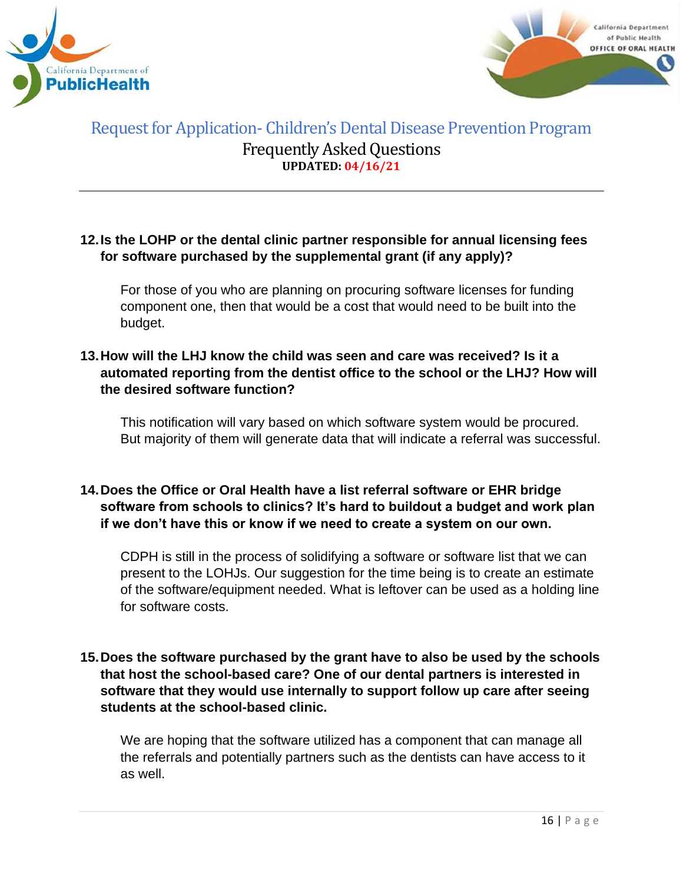



#### **12.Is the LOHP or the dental clinic partner responsible for annual licensing fees for software purchased by the supplemental grant (if any apply)?**

For those of you who are planning on procuring software licenses for funding component one, then that would be a cost that would need to be built into the budget.

### **13.How will the LHJ know the child was seen and care was received? Is it a automated reporting from the dentist office to the school or the LHJ? How will the desired software function?**

This notification will vary based on which software system would be procured. But majority of them will generate data that will indicate a referral was successful.

### **14.Does the Office or Oral Health have a list referral software or EHR bridge software from schools to clinics? It's hard to buildout a budget and work plan if we don't have this or know if we need to create a system on our own.**

CDPH is still in the process of solidifying a software or software list that we can present to the LOHJs. Our suggestion for the time being is to create an estimate of the software/equipment needed. What is leftover can be used as a holding line for software costs.

### **15.Does the software purchased by the grant have to also be used by the schools that host the school-based care? One of our dental partners is interested in software that they would use internally to support follow up care after seeing students at the school-based clinic.**

We are hoping that the software utilized has a component that can manage all the referrals and potentially partners such as the dentists can have access to it as well.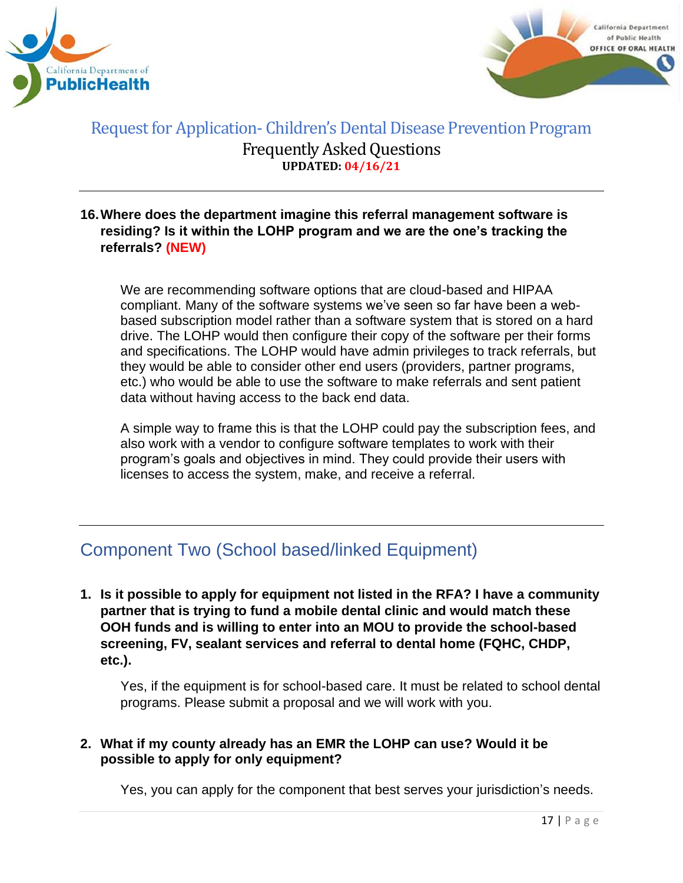



### **16.Where does the department imagine this referral management software is residing? Is it within the LOHP program and we are the one's tracking the referrals? (NEW)**

We are recommending software options that are cloud-based and HIPAA compliant. Many of the software systems we've seen so far have been a webbased subscription model rather than a software system that is stored on a hard drive. The LOHP would then configure their copy of the software per their forms and specifications. The LOHP would have admin privileges to track referrals, but they would be able to consider other end users (providers, partner programs, etc.) who would be able to use the software to make referrals and sent patient data without having access to the back end data.

A simple way to frame this is that the LOHP could pay the subscription fees, and also work with a vendor to configure software templates to work with their program's goals and objectives in mind. They could provide their users with licenses to access the system, make, and receive a referral.

# <span id="page-16-0"></span>Component Two (School based/linked Equipment)

**1. Is it possible to apply for equipment not listed in the RFA? I have a community partner that is trying to fund a mobile dental clinic and would match these OOH funds and is willing to enter into an MOU to provide the school-based screening, FV, sealant services and referral to dental home (FQHC, CHDP, etc.).**

Yes, if the equipment is for school-based care. It must be related to school dental programs. Please submit a proposal and we will work with you.

### **2. What if my county already has an EMR the LOHP can use? Would it be possible to apply for only equipment?**

Yes, you can apply for the component that best serves your jurisdiction's needs.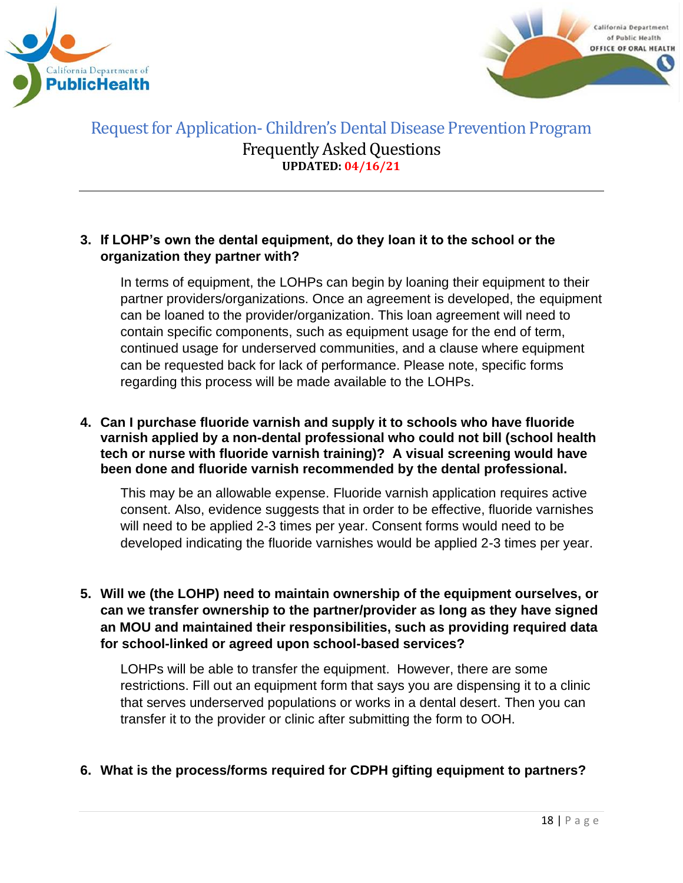



#### **3. If LOHP's own the dental equipment, do they loan it to the school or the organization they partner with?**

In terms of equipment, the LOHPs can begin by loaning their equipment to their partner providers/organizations. Once an agreement is developed, the equipment can be loaned to the provider/organization. This loan agreement will need to contain specific components, such as equipment usage for the end of term, continued usage for underserved communities, and a clause where equipment can be requested back for lack of performance. Please note, specific forms regarding this process will be made available to the LOHPs.

#### **4. Can I purchase fluoride varnish and supply it to schools who have fluoride varnish applied by a non-dental professional who could not bill (school health tech or nurse with fluoride varnish training)? A visual screening would have been done and fluoride varnish recommended by the dental professional.**

This may be an allowable expense. Fluoride varnish application requires active consent. Also, evidence suggests that in order to be effective, fluoride varnishes will need to be applied 2-3 times per year. Consent forms would need to be developed indicating the fluoride varnishes would be applied 2-3 times per year.

### **5. Will we (the LOHP) need to maintain ownership of the equipment ourselves, or can we transfer ownership to the partner/provider as long as they have signed an MOU and maintained their responsibilities, such as providing required data for school-linked or agreed upon school-based services?**

LOHPs will be able to transfer the equipment. However, there are some restrictions. Fill out an equipment form that says you are dispensing it to a clinic that serves underserved populations or works in a dental desert. Then you can transfer it to the provider or clinic after submitting the form to OOH.

### **6. What is the process/forms required for CDPH gifting equipment to partners?**